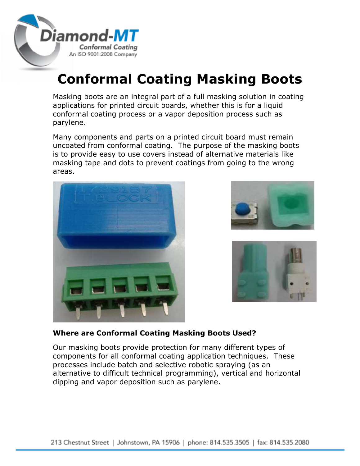

# **Conformal Coating Masking Boots**

Masking boots are an integral part of a full masking solution in coating applications for printed circuit boards, whether this is for a liquid conformal coating process or a vapor deposition process such as parylene.

Many components and parts on a printed circuit board must remain uncoated from conformal coating. The purpose of the masking boots is to provide easy to use covers instead of alternative materials like masking tape and dots to prevent coatings from going to the wrong areas.







## **Where are Conformal Coating Masking Boots Used?**

Our masking boots provide protection for many different types of components for all conformal coating application techniques. These processes include batch and selective robotic spraying (as an alternative to difficult technical programming), vertical and horizontal dipping and vapor deposition such as parylene.